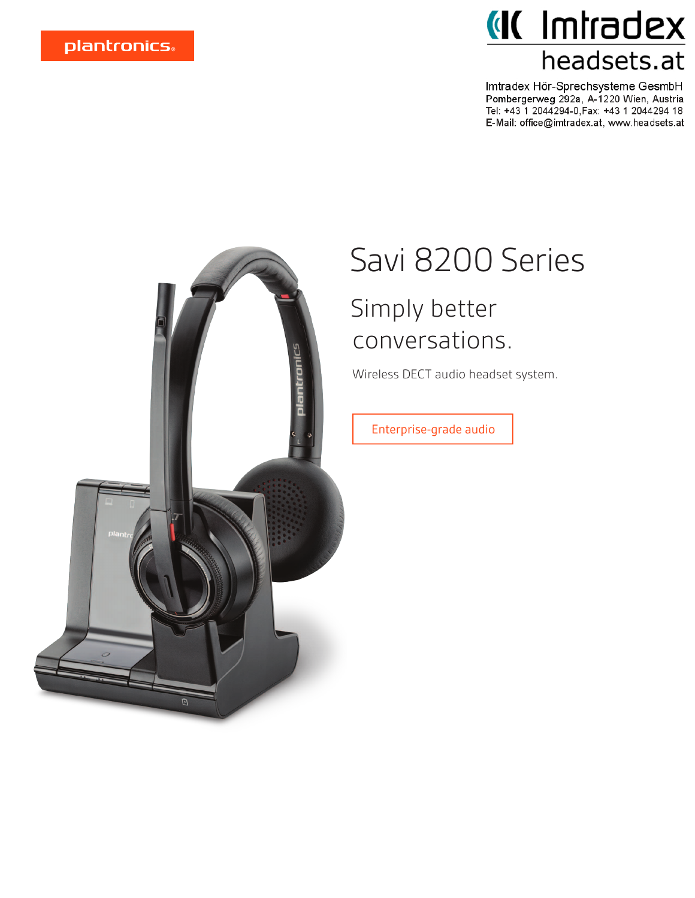## **Kabatimi** *III* headsets.at

Imtradex Hör-Sprechsysteme GesmbH<br>Pombergerweg 292a, A-1220 Wien, Austria Tel: +43 1 2044294-0, Fax: +43 1 2044294 18 E-Mail: office@imtradex.at, www.headsets.at



# Savi 8200 Series

### Simply better conversations.

Wireless DECT audio headset system.